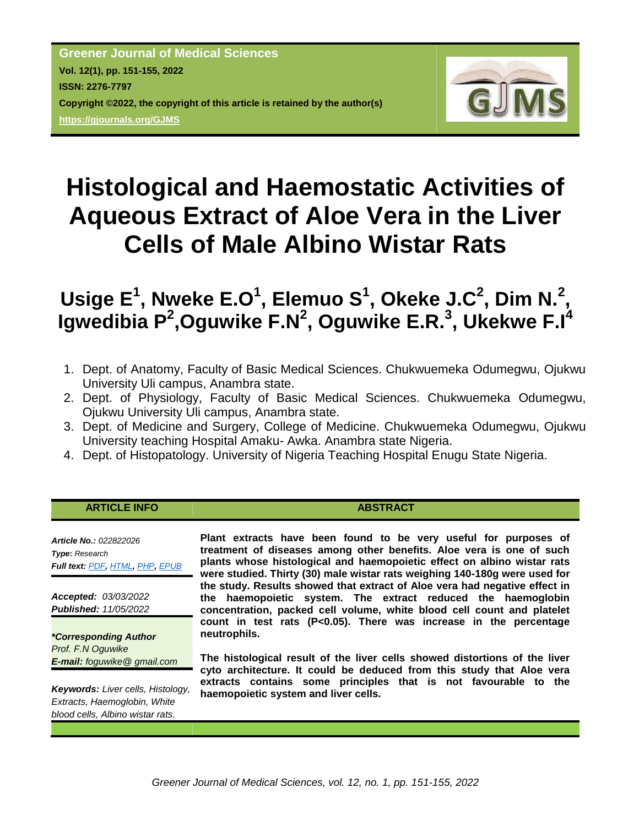**Greener Journal of Medical Sciences Vol. 12(1), pp. 151-155, 2022 ISSN: 2276-7797 Copyright ©2022, the copyright of this article is retained by the author(s) <https://gjournals.org/GJMS>**



# **Histological and Haemostatic Activities of Aqueous Extract of Aloe Vera in the Liver Cells of Male Albino Wistar Rats**

## **Usige E<sup>1</sup> , Nweke E.O<sup>1</sup> , Elemuo S<sup>1</sup> , Okeke J.C<sup>2</sup> , Dim N.<sup>2</sup> , Igwedibia P<sup>2</sup>,Oguwike F.N<sup>2</sup>, Oguwike E.R.<sup>3</sup>, Ukekwe F.I<sup>4</sup>**

- 1. Dept. of Anatomy, Faculty of Basic Medical Sciences. Chukwuemeka Odumegwu, Ojukwu University Uli campus, Anambra state.
- 2. Dept. of Physiology, Faculty of Basic Medical Sciences. Chukwuemeka Odumegwu, Ojukwu University Uli campus, Anambra state.
- 3. Dept. of Medicine and Surgery, College of Medicine. Chukwuemeka Odumegwu, Ojukwu University teaching Hospital Amaku- Awka. Anambra state Nigeria.
- 4. Dept. of Histopatology. University of Nigeria Teaching Hospital Enugu State Nigeria.

### **ARTICLE INFO ABSTRACT**

*Article No.: 022822026 Type***:** *Research Full text: [PDF](https://gjournals.org/GJMS/Publication/2022/1/PDF/022822026%20Usige%20et%20al.pdf), [HTML](https://gjournals.org/GJMS/Publication/2022/1/HTML/022822026%20Usige%20et%20al.htm), [PHP](https://www.gjournals.org/2022/05/11/022822026-usige-et-al/), [EPUB](https://gjournals.org/GJMS/Publication/2022/1/EPUB/022822026%20Usige%20et%20al.epub)*

*Accepted: 03/03/2022 Published: 11/05/2022*

*\*Corresponding Author Prof. F.N Oguwike E-mail: foguwike@ gmail.com*

*Keywords: Liver cells, Histology, Extracts, Haemoglobin, White blood cells, Albino wistar rats.*

**Plant extracts have been found to be very useful for purposes of treatment of diseases among other benefits. Aloe vera is one of such plants whose histological and haemopoietic effect on albino wistar rats were studied. Thirty (30) male wistar rats weighing 140-180g were used for the study. Results showed that extract of Aloe vera had negative effect in the haemopoietic system. The extract reduced the haemoglobin concentration, packed cell volume, white blood cell count and platelet count in test rats (P<0.05). There was increase in the percentage neutrophils.**

**The histological result of the liver cells showed distortions of the liver cyto architecture. It could be deduced from this study that Aloe vera extracts contains some principles that is not favourable to the haemopoietic system and liver cells.**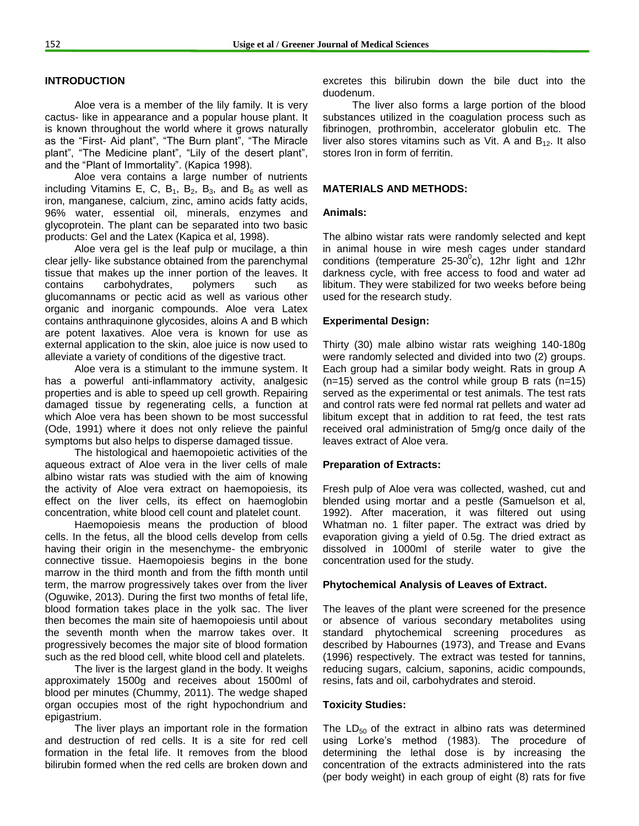#### **INTRODUCTION**

Aloe vera is a member of the lily family. It is very cactus- like in appearance and a popular house plant. It is known throughout the world where it grows naturally as the "First- Aid plant", "The Burn plant", "The Miracle plant", "The Medicine plant", "Lily of the desert plant", and the "Plant of Immortality". (Kapica 1998).

Aloe vera contains a large number of nutrients including Vitamins E, C, B<sub>1</sub>, B<sub>2</sub>, B<sub>3</sub>, and B<sub>6</sub> as well as iron, manganese, calcium, zinc, amino acids fatty acids, 96% water, essential oil, minerals, enzymes and glycoprotein. The plant can be separated into two basic products: Gel and the Latex (Kapica et al, 1998).

Aloe vera gel is the leaf pulp or mucilage, a thin clear jelly- like substance obtained from the parenchymal tissue that makes up the inner portion of the leaves. It contains carbohydrates, polymers such as glucomannams or pectic acid as well as various other organic and inorganic compounds. Aloe vera Latex contains anthraquinone glycosides, aloins A and B which are potent laxatives. Aloe vera is known for use as external application to the skin, aloe juice is now used to alleviate a variety of conditions of the digestive tract.

Aloe vera is a stimulant to the immune system. It has a powerful anti-inflammatory activity, analgesic properties and is able to speed up cell growth. Repairing damaged tissue by regenerating cells, a function at which Aloe vera has been shown to be most successful (Ode, 1991) where it does not only relieve the painful symptoms but also helps to disperse damaged tissue.

The histological and haemopoietic activities of the aqueous extract of Aloe vera in the liver cells of male albino wistar rats was studied with the aim of knowing the activity of Aloe vera extract on haemopoiesis, its effect on the liver cells, its effect on haemoglobin concentration, white blood cell count and platelet count.

Haemopoiesis means the production of blood cells. In the fetus, all the blood cells develop from cells having their origin in the mesenchyme- the embryonic connective tissue. Haemopoiesis begins in the bone marrow in the third month and from the fifth month until term, the marrow progressively takes over from the liver (Oguwike, 2013). During the first two months of fetal life, blood formation takes place in the yolk sac. The liver then becomes the main site of haemopoiesis until about the seventh month when the marrow takes over. It progressively becomes the major site of blood formation such as the red blood cell, white blood cell and platelets.

The liver is the largest gland in the body. It weighs approximately 1500g and receives about 1500ml of blood per minutes (Chummy, 2011). The wedge shaped organ occupies most of the right hypochondrium and epigastrium.

The liver plays an important role in the formation and destruction of red cells. It is a site for red cell formation in the fetal life. It removes from the blood bilirubin formed when the red cells are broken down and excretes this bilirubin down the bile duct into the duodenum.

The liver also forms a large portion of the blood substances utilized in the coagulation process such as fibrinogen, prothrombin, accelerator globulin etc. The liver also stores vitamins such as Vit. A and  $B_{12}$ . It also stores Iron in form of ferritin.

#### **MATERIALS AND METHODS:**

#### **Animals:**

The albino wistar rats were randomly selected and kept in animal house in wire mesh cages under standard conditions (temperature 25-30 $\textdegree$ c), 12hr light and 12hr darkness cycle, with free access to food and water ad libitum. They were stabilized for two weeks before being used for the research study.

#### **Experimental Design:**

Thirty (30) male albino wistar rats weighing 140-180g were randomly selected and divided into two (2) groups. Each group had a similar body weight. Rats in group A  $(n=15)$  served as the control while group B rats  $(n=15)$ served as the experimental or test animals. The test rats and control rats were fed normal rat pellets and water ad libitum except that in addition to rat feed, the test rats received oral administration of 5mg/g once daily of the leaves extract of Aloe vera.

#### **Preparation of Extracts:**

Fresh pulp of Aloe vera was collected, washed, cut and blended using mortar and a pestle (Samuelson et al, 1992). After maceration, it was filtered out using Whatman no. 1 filter paper. The extract was dried by evaporation giving a yield of 0.5g. The dried extract as dissolved in 1000ml of sterile water to give the concentration used for the study.

#### **Phytochemical Analysis of Leaves of Extract.**

The leaves of the plant were screened for the presence or absence of various secondary metabolites using standard phytochemical screening procedures as described by Habournes (1973), and Trease and Evans (1996) respectively. The extract was tested for tannins, reducing sugars, calcium, saponins, acidic compounds, resins, fats and oil, carbohydrates and steroid.

#### **Toxicity Studies:**

The  $LD_{50}$  of the extract in albino rats was determined using Lorke's method (1983). The procedure of determining the lethal dose is by increasing the concentration of the extracts administered into the rats (per body weight) in each group of eight (8) rats for five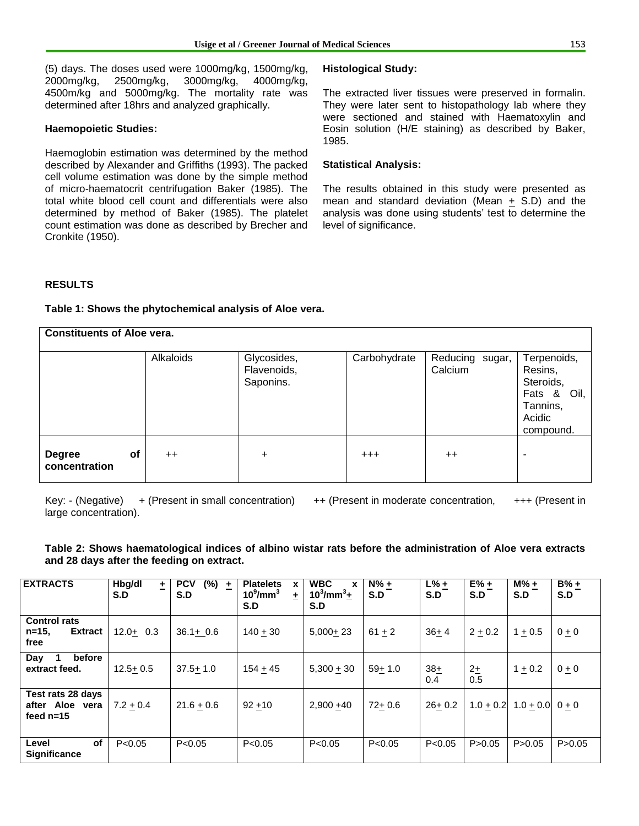(5) days. The doses used were 1000mg/kg, 1500mg/kg, 2000mg/kg, 2500mg/kg, 3000mg/kg, 4000mg/kg, 4500m/kg and 5000mg/kg. The mortality rate was determined after 18hrs and analyzed graphically.

#### **Haemopoietic Studies:**

Haemoglobin estimation was determined by the method described by Alexander and Griffiths (1993). The packed cell volume estimation was done by the simple method of micro-haematocrit centrifugation Baker (1985). The total white blood cell count and differentials were also determined by method of Baker (1985). The platelet count estimation was done as described by Brecher and Cronkite (1950).

#### **Histological Study:**

The extracted liver tissues were preserved in formalin. They were later sent to histopathology lab where they were sectioned and stained with Haematoxylin and Eosin solution (H/E staining) as described by Baker, 1985.

#### **Statistical Analysis:**

The results obtained in this study were presented as mean and standard deviation (Mean + S.D) and the analysis was done using students' test to determine the level of significance.

#### **RESULTS**

#### **Table 1: Shows the phytochemical analysis of Aloe vera.**

| <b>Constituents of Aloe vera.</b>           |           |                                         |              |                            |                                                                                       |  |  |  |  |  |  |
|---------------------------------------------|-----------|-----------------------------------------|--------------|----------------------------|---------------------------------------------------------------------------------------|--|--|--|--|--|--|
|                                             | Alkaloids | Glycosides,<br>Flavenoids,<br>Saponins. | Carbohydrate | Reducing sugar,<br>Calcium | Terpenoids,<br>Resins,<br>Steroids,<br>Fats & Oil,<br>Tannins,<br>Acidic<br>compound. |  |  |  |  |  |  |
| <b>of</b><br><b>Degree</b><br>concentration | $++$      | ÷                                       | $+++$        | $++$                       |                                                                                       |  |  |  |  |  |  |

large concentration).

Key: - (Negative) + (Present in small concentration) ++ (Present in moderate concentration, +++ (Present in

#### **Table 2: Shows haematological indices of albino wistar rats before the administration of Aloe vera extracts and 28 days after the feeding on extract.**

| <b>EXTRACTS</b>                                           | Hbg/dl<br>±<br>S.D | <b>PCV</b><br>$(\%)$<br>土<br>S.D | <b>Platelets</b><br>X<br>$10^9$ /mm $^3$<br>±<br>S.D | <b>WBC</b><br>X<br>$10^3$ /mm $^3$ +<br>S.D | $N\% +$<br>S.D | $L%+$<br>S.D | $E% +$<br>S.D | $M\% +$<br>S.D    | $B% +$<br>S.D |
|-----------------------------------------------------------|--------------------|----------------------------------|------------------------------------------------------|---------------------------------------------|----------------|--------------|---------------|-------------------|---------------|
| <b>Control rats</b><br>$n = 15$<br><b>Extract</b><br>free | $12.0 + 0.3$       | $36.1 + 0.6$                     | $140 + 30$                                           | $5,000+23$                                  | $61 + 2$       | $36 + 4$     | $2 + 0.2$     | $1 + 0.5$         | $0 \pm 0$     |
| before<br>Day<br>extract feed.                            | $12.5 + 0.5$       | $37.5 + 1.0$                     | $154 + 45$                                           | $5,300 + 30$                                | $59 + 1.0$     | $38+$<br>0.4 | $2+$<br>0.5   | $1 + 0.2$         | $0 \pm 0$     |
| Test rats 28 days<br>after Aloe vera<br>feed $n=15$       | $7.2 + 0.4$        | $21.6 + 0.6$                     | $92 + 10$                                            | $2.900 + 40$                                | $72 + 0.6$     | $26 + 0.2$   | $1.0 + 0.2$   | $1.0 + 0.0$ 0 + 0 |               |
| of<br>Level<br>Significance                               | P < 0.05           | P < 0.05                         | P < 0.05                                             | P < 0.05                                    | P < 0.05       | P < 0.05     | P > 0.05      | P > 0.05          | P > 0.05      |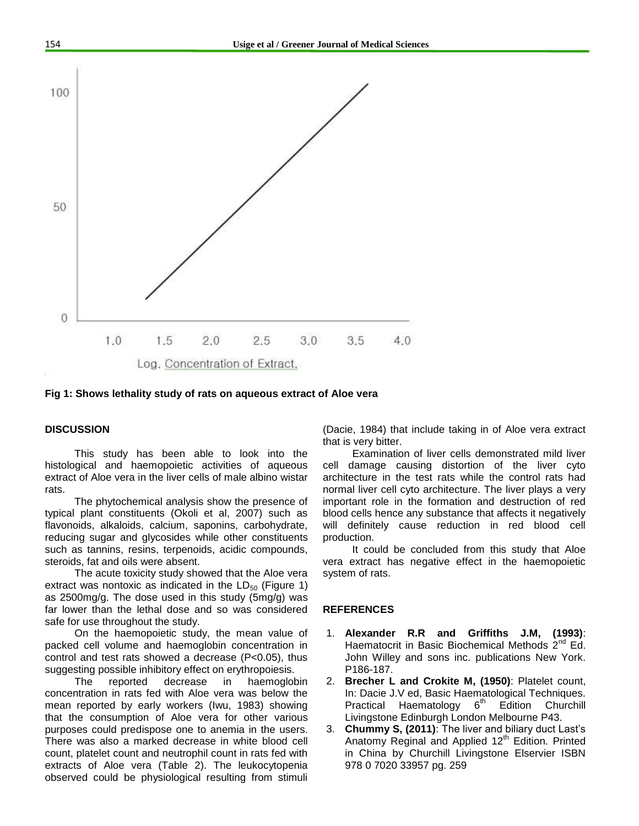

**Fig 1: Shows lethality study of rats on aqueous extract of Aloe vera**

#### **DISCUSSION**

This study has been able to look into the histological and haemopoietic activities of aqueous extract of Aloe vera in the liver cells of male albino wistar rats.

The phytochemical analysis show the presence of typical plant constituents (Okoli et al, 2007) such as flavonoids, alkaloids, calcium, saponins, carbohydrate, reducing sugar and glycosides while other constituents such as tannins, resins, terpenoids, acidic compounds, steroids, fat and oils were absent.

The acute toxicity study showed that the Aloe vera extract was nontoxic as indicated in the  $LD_{50}$  (Figure 1) as 2500mg/g. The dose used in this study (5mg/g) was far lower than the lethal dose and so was considered safe for use throughout the study.

On the haemopoietic study, the mean value of packed cell volume and haemoglobin concentration in control and test rats showed a decrease (P<0.05), thus suggesting possible inhibitory effect on erythropoiesis.

The reported decrease in haemoglobin concentration in rats fed with Aloe vera was below the mean reported by early workers (Iwu, 1983) showing that the consumption of Aloe vera for other various purposes could predispose one to anemia in the users. There was also a marked decrease in white blood cell count, platelet count and neutrophil count in rats fed with extracts of Aloe vera (Table 2). The leukocytopenia observed could be physiological resulting from stimuli

(Dacie, 1984) that include taking in of Aloe vera extract that is very bitter.

Examination of liver cells demonstrated mild liver cell damage causing distortion of the liver cyto architecture in the test rats while the control rats had normal liver cell cyto architecture. The liver plays a very important role in the formation and destruction of red blood cells hence any substance that affects it negatively will definitely cause reduction in red blood cell production.

It could be concluded from this study that Aloe vera extract has negative effect in the haemopoietic system of rats.

#### **REFERENCES**

- 1. **Alexander R.R and Griffiths J.M, (1993)**: Haematocrit in Basic Biochemical Methods  $2^{nd}$  Ed. John Willey and sons inc. publications New York. P186-187.
- 2. **Brecher L and Crokite M, (1950)**: Platelet count, In: Dacie J.V ed, Basic Haematological Techniques. Practical Haematology  $6<sup>th</sup>$  Edition Churchill Livingstone Edinburgh London Melbourne P43.
- 3. **Chummy S, (2011)**: The liver and biliary duct Last's Anatomy Reginal and Applied  $12<sup>th</sup>$  Edition. Printed in China by Churchill Livingstone Elservier ISBN 978 0 7020 33957 pg. 259